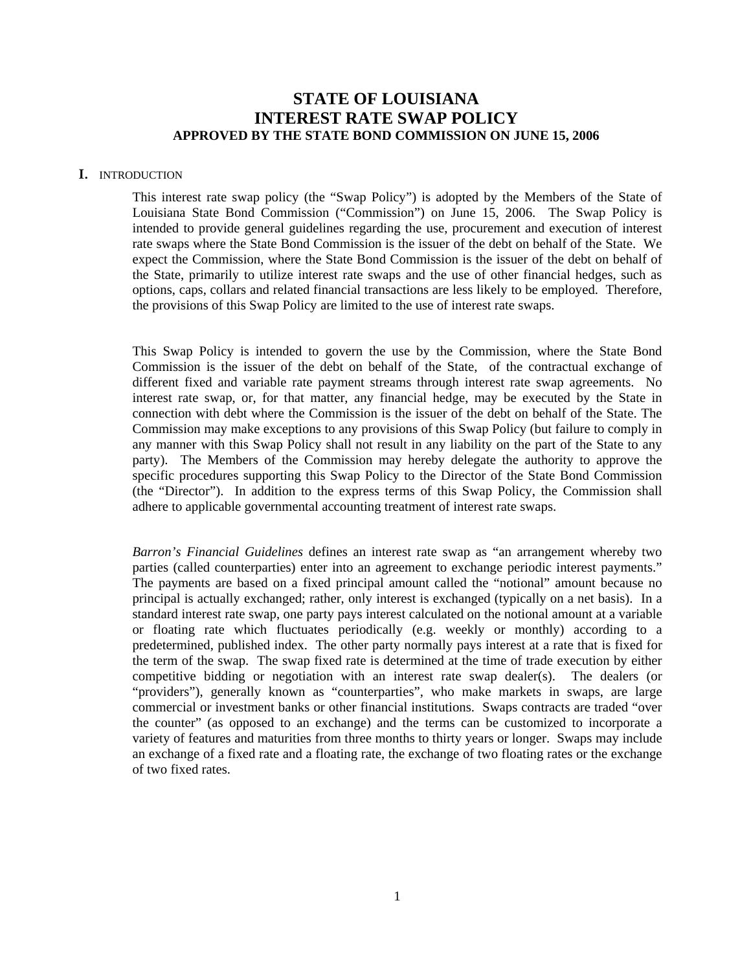# **STATE OF LOUISIANA INTEREST RATE SWAP POLICY APPROVED BY THE STATE BOND COMMISSION ON JUNE 15, 2006**

### **I.** INTRODUCTION

This interest rate swap policy (the "Swap Policy") is adopted by the Members of the State of Louisiana State Bond Commission ("Commission") on June 15, 2006. The Swap Policy is intended to provide general guidelines regarding the use, procurement and execution of interest rate swaps where the State Bond Commission is the issuer of the debt on behalf of the State. We expect the Commission, where the State Bond Commission is the issuer of the debt on behalf of the State, primarily to utilize interest rate swaps and the use of other financial hedges, such as options, caps, collars and related financial transactions are less likely to be employed. Therefore, the provisions of this Swap Policy are limited to the use of interest rate swaps.

This Swap Policy is intended to govern the use by the Commission, where the State Bond Commission is the issuer of the debt on behalf of the State, of the contractual exchange of different fixed and variable rate payment streams through interest rate swap agreements. No interest rate swap, or, for that matter, any financial hedge, may be executed by the State in connection with debt where the Commission is the issuer of the debt on behalf of the State. The Commission may make exceptions to any provisions of this Swap Policy (but failure to comply in any manner with this Swap Policy shall not result in any liability on the part of the State to any party). The Members of the Commission may hereby delegate the authority to approve the specific procedures supporting this Swap Policy to the Director of the State Bond Commission (the "Director"). In addition to the express terms of this Swap Policy, the Commission shall adhere to applicable governmental accounting treatment of interest rate swaps.

*Barron's Financial Guidelines* defines an interest rate swap as "an arrangement whereby two parties (called counterparties) enter into an agreement to exchange periodic interest payments." The payments are based on a fixed principal amount called the "notional" amount because no principal is actually exchanged; rather, only interest is exchanged (typically on a net basis). In a standard interest rate swap, one party pays interest calculated on the notional amount at a variable or floating rate which fluctuates periodically (e.g. weekly or monthly) according to a predetermined, published index. The other party normally pays interest at a rate that is fixed for the term of the swap. The swap fixed rate is determined at the time of trade execution by either competitive bidding or negotiation with an interest rate swap dealer(s). The dealers (or "providers"), generally known as "counterparties", who make markets in swaps, are large commercial or investment banks or other financial institutions. Swaps contracts are traded "over the counter" (as opposed to an exchange) and the terms can be customized to incorporate a variety of features and maturities from three months to thirty years or longer. Swaps may include an exchange of a fixed rate and a floating rate, the exchange of two floating rates or the exchange of two fixed rates.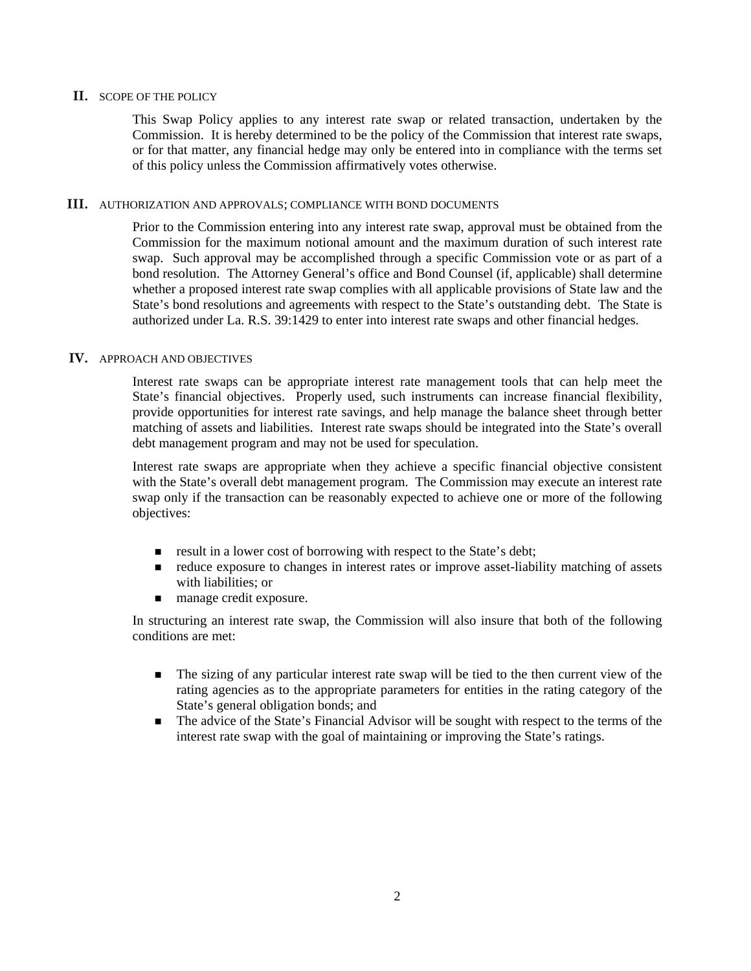## **II.** SCOPE OF THE POLICY

This Swap Policy applies to any interest rate swap or related transaction, undertaken by the Commission. It is hereby determined to be the policy of the Commission that interest rate swaps, or for that matter, any financial hedge may only be entered into in compliance with the terms set of this policy unless the Commission affirmatively votes otherwise.

## **III.** AUTHORIZATION AND APPROVALS; COMPLIANCE WITH BOND DOCUMENTS

Prior to the Commission entering into any interest rate swap, approval must be obtained from the Commission for the maximum notional amount and the maximum duration of such interest rate swap. Such approval may be accomplished through a specific Commission vote or as part of a bond resolution. The Attorney General's office and Bond Counsel (if, applicable) shall determine whether a proposed interest rate swap complies with all applicable provisions of State law and the State's bond resolutions and agreements with respect to the State's outstanding debt. The State is authorized under La. R.S. 39:1429 to enter into interest rate swaps and other financial hedges.

## **IV.** APPROACH AND OBJECTIVES

Interest rate swaps can be appropriate interest rate management tools that can help meet the State's financial objectives. Properly used, such instruments can increase financial flexibility, provide opportunities for interest rate savings, and help manage the balance sheet through better matching of assets and liabilities. Interest rate swaps should be integrated into the State's overall debt management program and may not be used for speculation.

Interest rate swaps are appropriate when they achieve a specific financial objective consistent with the State's overall debt management program. The Commission may execute an interest rate swap only if the transaction can be reasonably expected to achieve one or more of the following objectives:

- result in a lower cost of borrowing with respect to the State's debt;
- reduce exposure to changes in interest rates or improve asset-liability matching of assets with liabilities; or
- manage credit exposure.

In structuring an interest rate swap, the Commission will also insure that both of the following conditions are met:

- The sizing of any particular interest rate swap will be tied to the then current view of the rating agencies as to the appropriate parameters for entities in the rating category of the State's general obligation bonds; and
- The advice of the State's Financial Advisor will be sought with respect to the terms of the interest rate swap with the goal of maintaining or improving the State's ratings.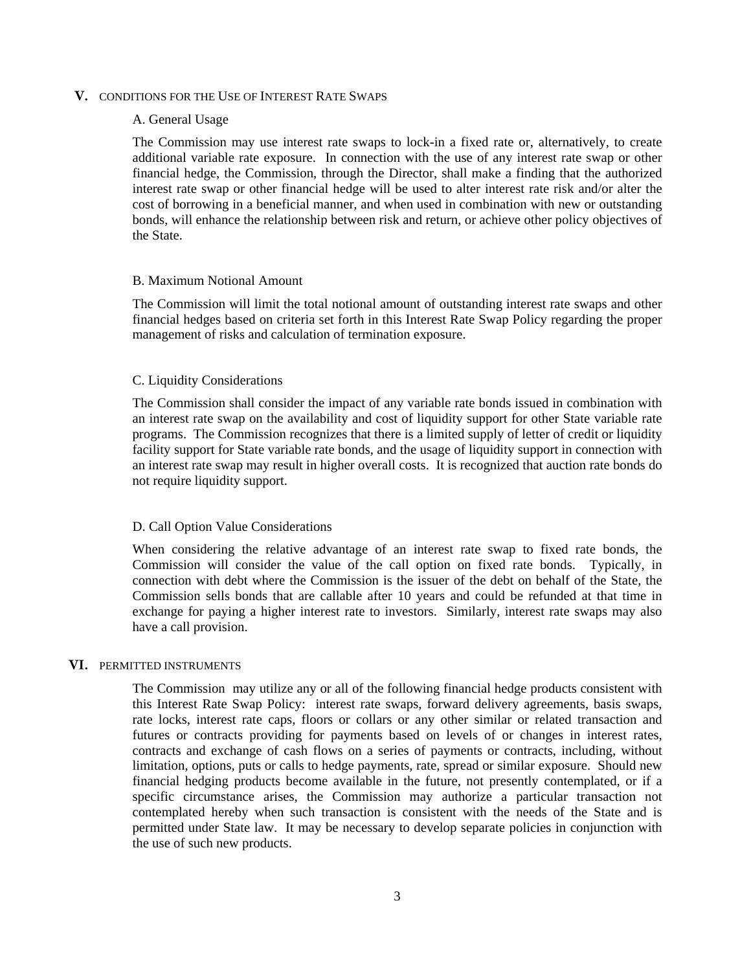### **V.** CONDITIONS FOR THE USE OF INTEREST RATE SWAPS

## A. General Usage

The Commission may use interest rate swaps to lock-in a fixed rate or, alternatively, to create additional variable rate exposure. In connection with the use of any interest rate swap or other financial hedge, the Commission, through the Director, shall make a finding that the authorized interest rate swap or other financial hedge will be used to alter interest rate risk and/or alter the cost of borrowing in a beneficial manner, and when used in combination with new or outstanding bonds, will enhance the relationship between risk and return, or achieve other policy objectives of the State.

#### B. Maximum Notional Amount

The Commission will limit the total notional amount of outstanding interest rate swaps and other financial hedges based on criteria set forth in this Interest Rate Swap Policy regarding the proper management of risks and calculation of termination exposure.

## C. Liquidity Considerations

The Commission shall consider the impact of any variable rate bonds issued in combination with an interest rate swap on the availability and cost of liquidity support for other State variable rate programs. The Commission recognizes that there is a limited supply of letter of credit or liquidity facility support for State variable rate bonds, and the usage of liquidity support in connection with an interest rate swap may result in higher overall costs. It is recognized that auction rate bonds do not require liquidity support.

## D. Call Option Value Considerations

When considering the relative advantage of an interest rate swap to fixed rate bonds, the Commission will consider the value of the call option on fixed rate bonds. Typically, in connection with debt where the Commission is the issuer of the debt on behalf of the State, the Commission sells bonds that are callable after 10 years and could be refunded at that time in exchange for paying a higher interest rate to investors. Similarly, interest rate swaps may also have a call provision.

#### **VI.** PERMITTED INSTRUMENTS

The Commission may utilize any or all of the following financial hedge products consistent with this Interest Rate Swap Policy: interest rate swaps, forward delivery agreements, basis swaps, rate locks, interest rate caps, floors or collars or any other similar or related transaction and futures or contracts providing for payments based on levels of or changes in interest rates, contracts and exchange of cash flows on a series of payments or contracts, including, without limitation, options, puts or calls to hedge payments, rate, spread or similar exposure. Should new financial hedging products become available in the future, not presently contemplated, or if a specific circumstance arises, the Commission may authorize a particular transaction not contemplated hereby when such transaction is consistent with the needs of the State and is permitted under State law. It may be necessary to develop separate policies in conjunction with the use of such new products.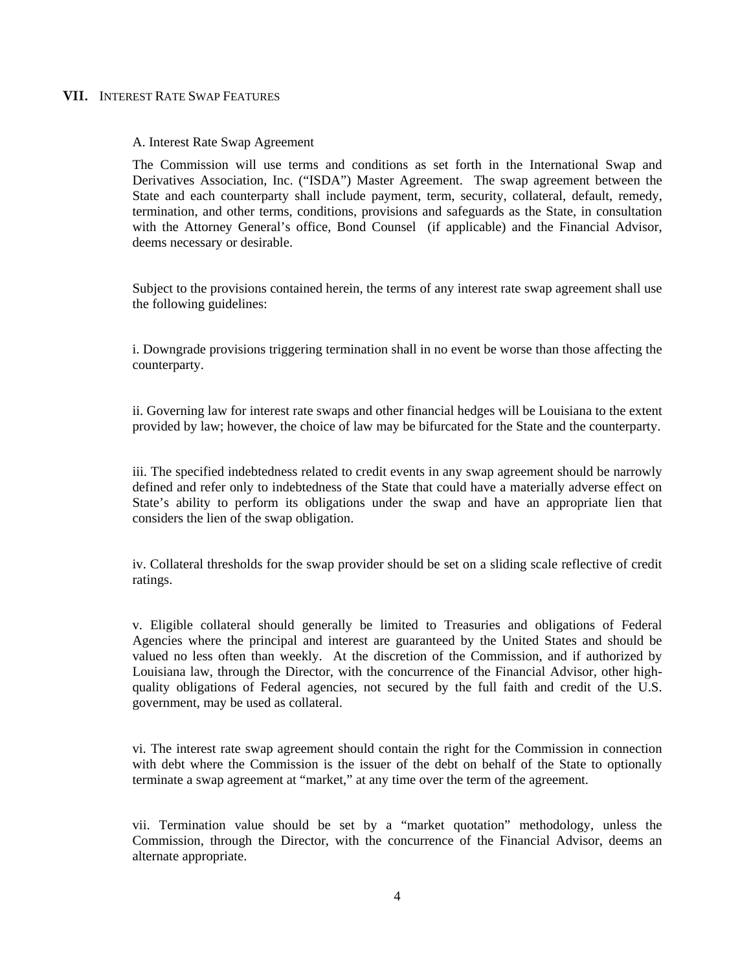## **VII.** INTEREST RATE SWAP FEATURES

A. Interest Rate Swap Agreement

The Commission will use terms and conditions as set forth in the International Swap and Derivatives Association, Inc. ("ISDA") Master Agreement. The swap agreement between the State and each counterparty shall include payment, term, security, collateral, default, remedy, termination, and other terms, conditions, provisions and safeguards as the State, in consultation with the Attorney General's office, Bond Counsel (if applicable) and the Financial Advisor, deems necessary or desirable.

Subject to the provisions contained herein, the terms of any interest rate swap agreement shall use the following guidelines:

i. Downgrade provisions triggering termination shall in no event be worse than those affecting the counterparty.

ii. Governing law for interest rate swaps and other financial hedges will be Louisiana to the extent provided by law; however, the choice of law may be bifurcated for the State and the counterparty.

iii. The specified indebtedness related to credit events in any swap agreement should be narrowly defined and refer only to indebtedness of the State that could have a materially adverse effect on State's ability to perform its obligations under the swap and have an appropriate lien that considers the lien of the swap obligation.

iv. Collateral thresholds for the swap provider should be set on a sliding scale reflective of credit ratings.

v. Eligible collateral should generally be limited to Treasuries and obligations of Federal Agencies where the principal and interest are guaranteed by the United States and should be valued no less often than weekly. At the discretion of the Commission, and if authorized by Louisiana law, through the Director, with the concurrence of the Financial Advisor, other highquality obligations of Federal agencies, not secured by the full faith and credit of the U.S. government, may be used as collateral.

vi. The interest rate swap agreement should contain the right for the Commission in connection with debt where the Commission is the issuer of the debt on behalf of the State to optionally terminate a swap agreement at "market," at any time over the term of the agreement.

vii. Termination value should be set by a "market quotation" methodology, unless the Commission, through the Director, with the concurrence of the Financial Advisor, deems an alternate appropriate.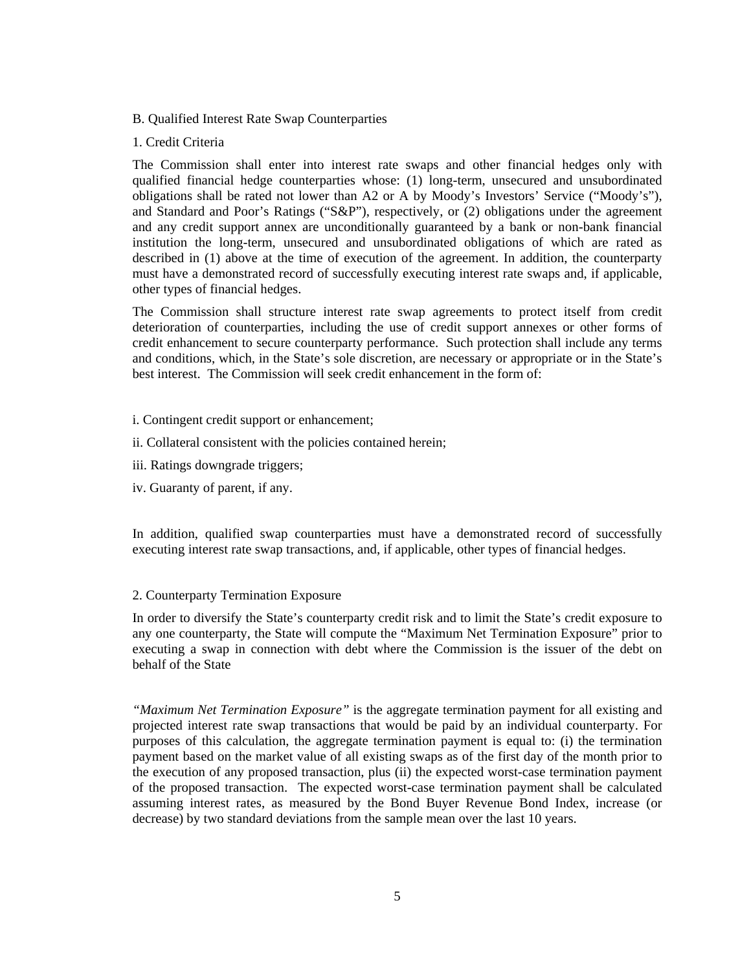- B. Qualified Interest Rate Swap Counterparties
- 1. Credit Criteria

The Commission shall enter into interest rate swaps and other financial hedges only with qualified financial hedge counterparties whose: (1) long-term, unsecured and unsubordinated obligations shall be rated not lower than A2 or A by Moody's Investors' Service ("Moody's"), and Standard and Poor's Ratings ("S&P"), respectively, or (2) obligations under the agreement and any credit support annex are unconditionally guaranteed by a bank or non-bank financial institution the long-term, unsecured and unsubordinated obligations of which are rated as described in (1) above at the time of execution of the agreement. In addition, the counterparty must have a demonstrated record of successfully executing interest rate swaps and, if applicable, other types of financial hedges.

The Commission shall structure interest rate swap agreements to protect itself from credit deterioration of counterparties, including the use of credit support annexes or other forms of credit enhancement to secure counterparty performance. Such protection shall include any terms and conditions, which, in the State's sole discretion, are necessary or appropriate or in the State's best interest. The Commission will seek credit enhancement in the form of:

- i. Contingent credit support or enhancement;
- ii. Collateral consistent with the policies contained herein;
- iii. Ratings downgrade triggers;
- iv. Guaranty of parent, if any.

In addition, qualified swap counterparties must have a demonstrated record of successfully executing interest rate swap transactions, and, if applicable, other types of financial hedges.

# 2. Counterparty Termination Exposure

In order to diversify the State's counterparty credit risk and to limit the State's credit exposure to any one counterparty, the State will compute the "Maximum Net Termination Exposure" prior to executing a swap in connection with debt where the Commission is the issuer of the debt on behalf of the State

*"Maximum Net Termination Exposure"* is the aggregate termination payment for all existing and projected interest rate swap transactions that would be paid by an individual counterparty. For purposes of this calculation, the aggregate termination payment is equal to: (i) the termination payment based on the market value of all existing swaps as of the first day of the month prior to the execution of any proposed transaction, plus (ii) the expected worst-case termination payment of the proposed transaction. The expected worst-case termination payment shall be calculated assuming interest rates, as measured by the Bond Buyer Revenue Bond Index, increase (or decrease) by two standard deviations from the sample mean over the last 10 years.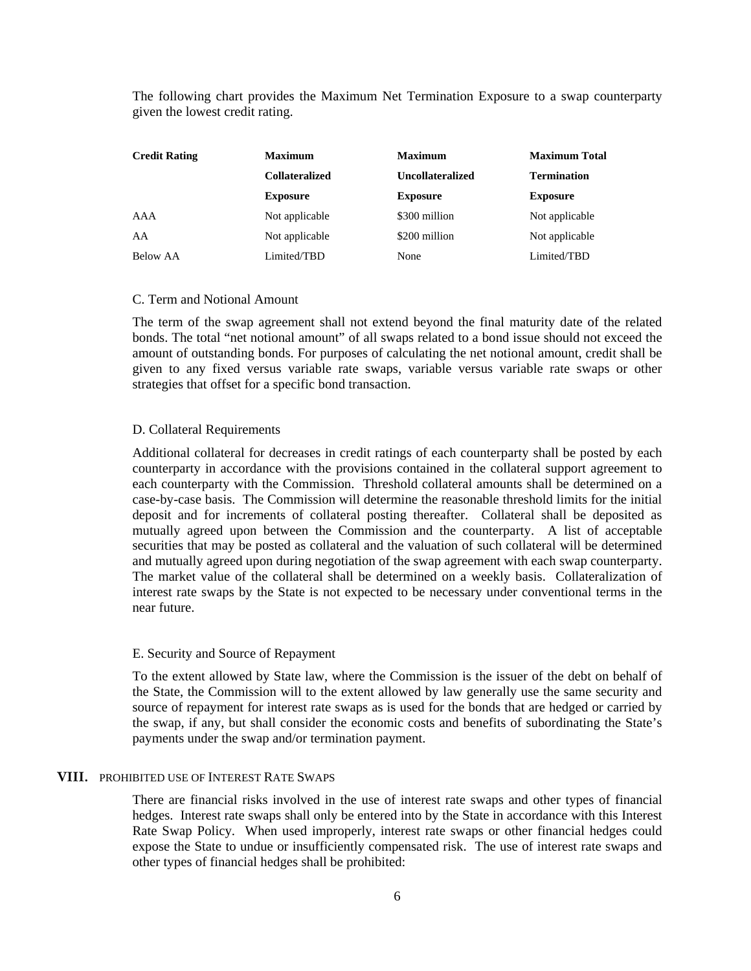The following chart provides the Maximum Net Termination Exposure to a swap counterparty given the lowest credit rating.

| <b>Credit Rating</b> | <b>Maximum</b><br><b>Collateralized</b><br><b>Exposure</b> | <b>Maximum</b><br><b>Uncollateralized</b><br><b>Exposure</b> | <b>Maximum Total</b><br><b>Termination</b><br><b>Exposure</b> |     |                |               |                |
|----------------------|------------------------------------------------------------|--------------------------------------------------------------|---------------------------------------------------------------|-----|----------------|---------------|----------------|
|                      |                                                            |                                                              |                                                               | AAA | Not applicable | \$300 million | Not applicable |
|                      |                                                            |                                                              |                                                               | AA  | Not applicable | \$200 million | Not applicable |
| Below AA             | Limited/TBD                                                | None                                                         | Limited/TBD                                                   |     |                |               |                |

## C. Term and Notional Amount

The term of the swap agreement shall not extend beyond the final maturity date of the related bonds. The total "net notional amount" of all swaps related to a bond issue should not exceed the amount of outstanding bonds. For purposes of calculating the net notional amount, credit shall be given to any fixed versus variable rate swaps, variable versus variable rate swaps or other strategies that offset for a specific bond transaction.

#### D. Collateral Requirements

Additional collateral for decreases in credit ratings of each counterparty shall be posted by each counterparty in accordance with the provisions contained in the collateral support agreement to each counterparty with the Commission. Threshold collateral amounts shall be determined on a case-by-case basis. The Commission will determine the reasonable threshold limits for the initial deposit and for increments of collateral posting thereafter. Collateral shall be deposited as mutually agreed upon between the Commission and the counterparty. A list of acceptable securities that may be posted as collateral and the valuation of such collateral will be determined and mutually agreed upon during negotiation of the swap agreement with each swap counterparty. The market value of the collateral shall be determined on a weekly basis. Collateralization of interest rate swaps by the State is not expected to be necessary under conventional terms in the near future.

## E. Security and Source of Repayment

To the extent allowed by State law, where the Commission is the issuer of the debt on behalf of the State, the Commission will to the extent allowed by law generally use the same security and source of repayment for interest rate swaps as is used for the bonds that are hedged or carried by the swap, if any, but shall consider the economic costs and benefits of subordinating the State's payments under the swap and/or termination payment.

## **VIII.** PROHIBITED USE OF INTEREST RATE SWAPS

There are financial risks involved in the use of interest rate swaps and other types of financial hedges. Interest rate swaps shall only be entered into by the State in accordance with this Interest Rate Swap Policy. When used improperly, interest rate swaps or other financial hedges could expose the State to undue or insufficiently compensated risk. The use of interest rate swaps and other types of financial hedges shall be prohibited: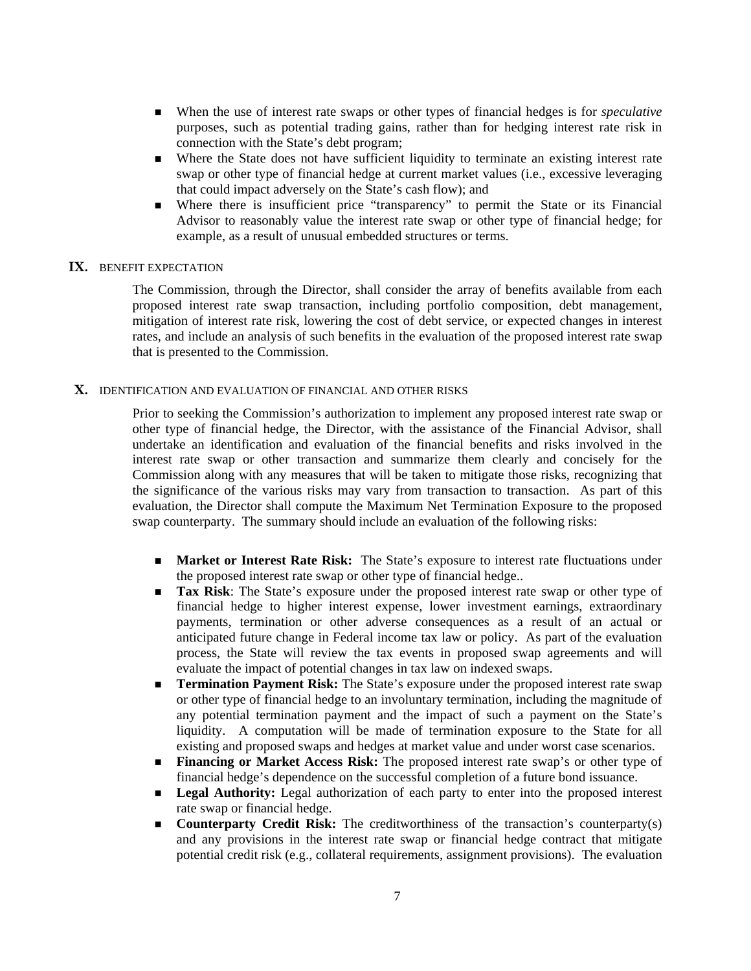- When the use of interest rate swaps or other types of financial hedges is for *speculative* purposes, such as potential trading gains, rather than for hedging interest rate risk in connection with the State's debt program;
- Where the State does not have sufficient liquidity to terminate an existing interest rate swap or other type of financial hedge at current market values (i.e., excessive leveraging that could impact adversely on the State's cash flow); and
- Where there is insufficient price "transparency" to permit the State or its Financial Advisor to reasonably value the interest rate swap or other type of financial hedge; for example, as a result of unusual embedded structures or terms.

## **IX.** BENEFIT EXPECTATION

The Commission, through the Director, shall consider the array of benefits available from each proposed interest rate swap transaction, including portfolio composition, debt management, mitigation of interest rate risk, lowering the cost of debt service, or expected changes in interest rates, and include an analysis of such benefits in the evaluation of the proposed interest rate swap that is presented to the Commission.

## **X.** IDENTIFICATION AND EVALUATION OF FINANCIAL AND OTHER RISKS

Prior to seeking the Commission's authorization to implement any proposed interest rate swap or other type of financial hedge, the Director, with the assistance of the Financial Advisor, shall undertake an identification and evaluation of the financial benefits and risks involved in the interest rate swap or other transaction and summarize them clearly and concisely for the Commission along with any measures that will be taken to mitigate those risks, recognizing that the significance of the various risks may vary from transaction to transaction. As part of this evaluation, the Director shall compute the Maximum Net Termination Exposure to the proposed swap counterparty. The summary should include an evaluation of the following risks:

- **Market or Interest Rate Risk:** The State's exposure to interest rate fluctuations under the proposed interest rate swap or other type of financial hedge..
- **Tax Risk:** The State's exposure under the proposed interest rate swap or other type of financial hedge to higher interest expense, lower investment earnings, extraordinary payments, termination or other adverse consequences as a result of an actual or anticipated future change in Federal income tax law or policy. As part of the evaluation process, the State will review the tax events in proposed swap agreements and will evaluate the impact of potential changes in tax law on indexed swaps.
- **Termination Payment Risk:** The State's exposure under the proposed interest rate swap or other type of financial hedge to an involuntary termination, including the magnitude of any potential termination payment and the impact of such a payment on the State's liquidity. A computation will be made of termination exposure to the State for all existing and proposed swaps and hedges at market value and under worst case scenarios.
- **Financing or Market Access Risk:** The proposed interest rate swap's or other type of financial hedge's dependence on the successful completion of a future bond issuance.
- **Legal Authority:** Legal authorization of each party to enter into the proposed interest rate swap or financial hedge.
- **Counterparty Credit Risk:** The creditworthiness of the transaction's counterparty(s) and any provisions in the interest rate swap or financial hedge contract that mitigate potential credit risk (e.g., collateral requirements, assignment provisions). The evaluation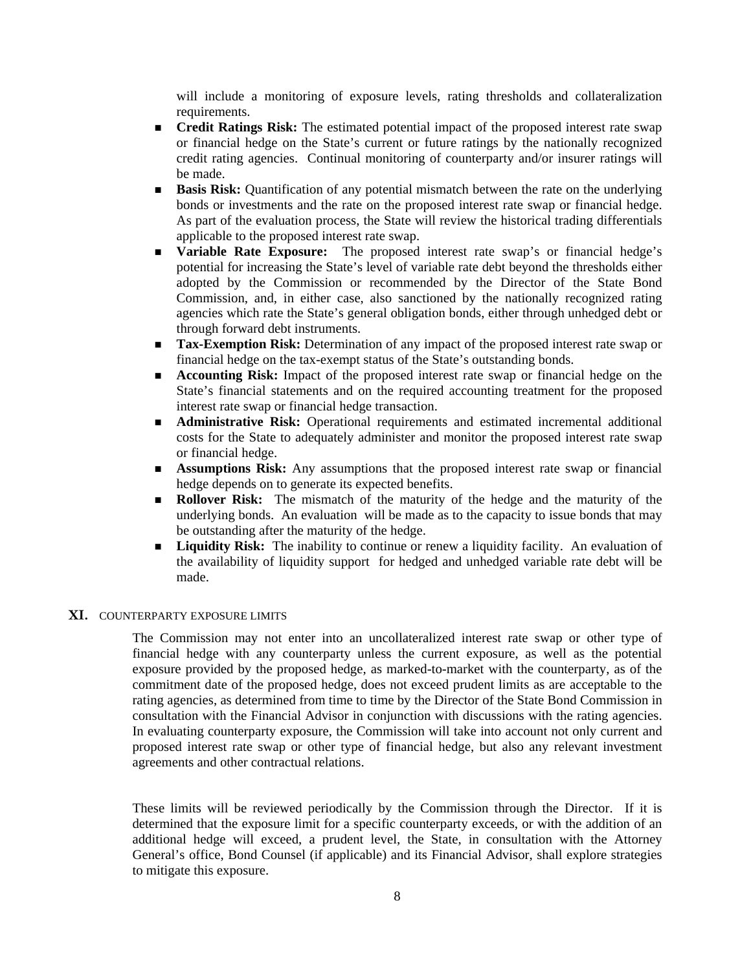will include a monitoring of exposure levels, rating thresholds and collateralization requirements.

- **Credit Ratings Risk:** The estimated potential impact of the proposed interest rate swap or financial hedge on the State's current or future ratings by the nationally recognized credit rating agencies. Continual monitoring of counterparty and/or insurer ratings will be made.
- **Basis Risk:** Quantification of any potential mismatch between the rate on the underlying bonds or investments and the rate on the proposed interest rate swap or financial hedge. As part of the evaluation process, the State will review the historical trading differentials applicable to the proposed interest rate swap.
- **variable Rate Exposure:** The proposed interest rate swap's or financial hedge's potential for increasing the State's level of variable rate debt beyond the thresholds either adopted by the Commission or recommended by the Director of the State Bond Commission, and, in either case, also sanctioned by the nationally recognized rating agencies which rate the State's general obligation bonds, either through unhedged debt or through forward debt instruments.
- **Tax-Exemption Risk:** Determination of any impact of the proposed interest rate swap or financial hedge on the tax-exempt status of the State's outstanding bonds.
- **Accounting Risk:** Impact of the proposed interest rate swap or financial hedge on the State's financial statements and on the required accounting treatment for the proposed interest rate swap or financial hedge transaction.
- **Administrative Risk:** Operational requirements and estimated incremental additional costs for the State to adequately administer and monitor the proposed interest rate swap or financial hedge.
- **Assumptions Risk:** Any assumptions that the proposed interest rate swap or financial hedge depends on to generate its expected benefits.
- **Rollover Risk:** The mismatch of the maturity of the hedge and the maturity of the underlying bonds. An evaluation will be made as to the capacity to issue bonds that may be outstanding after the maturity of the hedge.
- **Liquidity Risk:** The inability to continue or renew a liquidity facility. An evaluation of the availability of liquidity support for hedged and unhedged variable rate debt will be made.

## **XI.** COUNTERPARTY EXPOSURE LIMITS

The Commission may not enter into an uncollateralized interest rate swap or other type of financial hedge with any counterparty unless the current exposure, as well as the potential exposure provided by the proposed hedge, as marked-to-market with the counterparty, as of the commitment date of the proposed hedge, does not exceed prudent limits as are acceptable to the rating agencies, as determined from time to time by the Director of the State Bond Commission in consultation with the Financial Advisor in conjunction with discussions with the rating agencies. In evaluating counterparty exposure, the Commission will take into account not only current and proposed interest rate swap or other type of financial hedge, but also any relevant investment agreements and other contractual relations.

These limits will be reviewed periodically by the Commission through the Director. If it is determined that the exposure limit for a specific counterparty exceeds, or with the addition of an additional hedge will exceed, a prudent level, the State, in consultation with the Attorney General's office, Bond Counsel (if applicable) and its Financial Advisor, shall explore strategies to mitigate this exposure.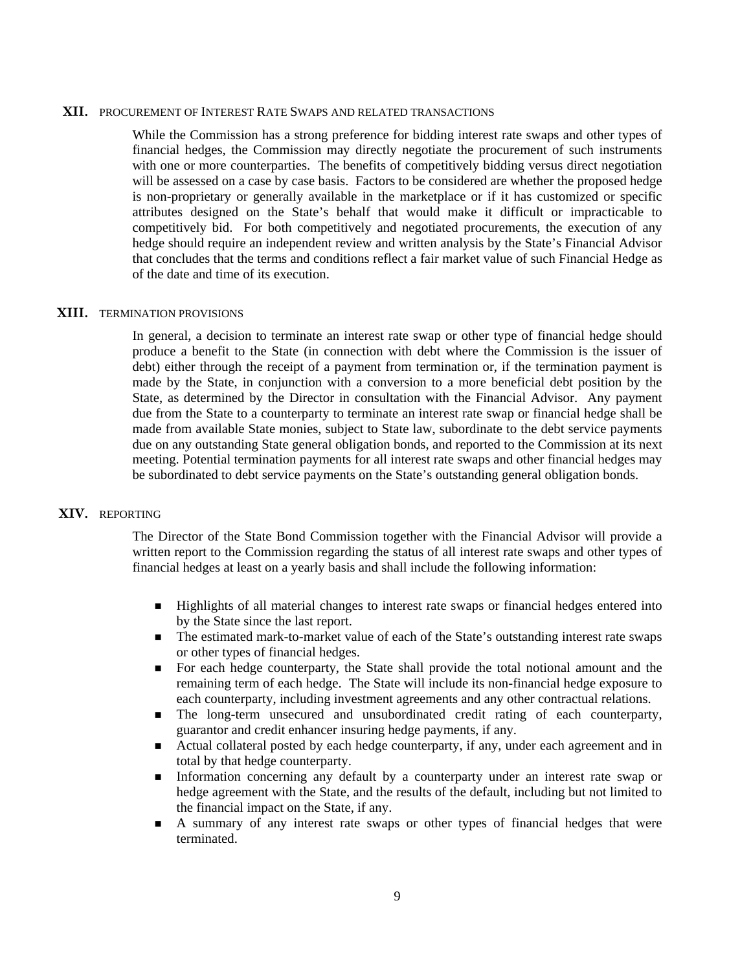#### **XII.** PROCUREMENT OF INTEREST RATE SWAPS AND RELATED TRANSACTIONS

While the Commission has a strong preference for bidding interest rate swaps and other types of financial hedges, the Commission may directly negotiate the procurement of such instruments with one or more counterparties. The benefits of competitively bidding versus direct negotiation will be assessed on a case by case basis. Factors to be considered are whether the proposed hedge is non-proprietary or generally available in the marketplace or if it has customized or specific attributes designed on the State's behalf that would make it difficult or impracticable to competitively bid. For both competitively and negotiated procurements, the execution of any hedge should require an independent review and written analysis by the State's Financial Advisor that concludes that the terms and conditions reflect a fair market value of such Financial Hedge as of the date and time of its execution.

#### **XIII.** TERMINATION PROVISIONS

In general, a decision to terminate an interest rate swap or other type of financial hedge should produce a benefit to the State (in connection with debt where the Commission is the issuer of debt) either through the receipt of a payment from termination or, if the termination payment is made by the State, in conjunction with a conversion to a more beneficial debt position by the State, as determined by the Director in consultation with the Financial Advisor. Any payment due from the State to a counterparty to terminate an interest rate swap or financial hedge shall be made from available State monies, subject to State law, subordinate to the debt service payments due on any outstanding State general obligation bonds, and reported to the Commission at its next meeting. Potential termination payments for all interest rate swaps and other financial hedges may be subordinated to debt service payments on the State's outstanding general obligation bonds.

## **XIV.** REPORTING

The Director of the State Bond Commission together with the Financial Advisor will provide a written report to the Commission regarding the status of all interest rate swaps and other types of financial hedges at least on a yearly basis and shall include the following information:

- Highlights of all material changes to interest rate swaps or financial hedges entered into by the State since the last report.
- The estimated mark-to-market value of each of the State's outstanding interest rate swaps or other types of financial hedges.
- For each hedge counterparty, the State shall provide the total notional amount and the remaining term of each hedge. The State will include its non-financial hedge exposure to each counterparty, including investment agreements and any other contractual relations.
- The long-term unsecured and unsubordinated credit rating of each counterparty, guarantor and credit enhancer insuring hedge payments, if any.
- Actual collateral posted by each hedge counterparty, if any, under each agreement and in total by that hedge counterparty.
- Information concerning any default by a counterparty under an interest rate swap or hedge agreement with the State, and the results of the default, including but not limited to the financial impact on the State, if any.
- A summary of any interest rate swaps or other types of financial hedges that were terminated.